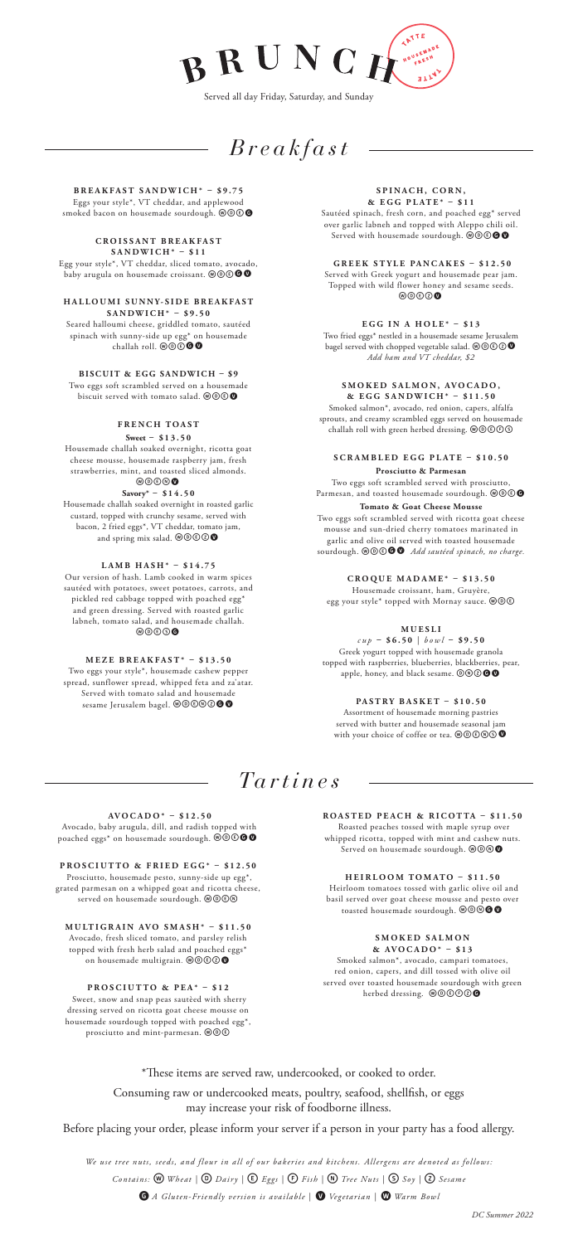

# *Breakfast*

**BREAKFAST SANDWICH\* – \$9.75** Eggs your style\*,  $VT$  cheddar, and applew smoked bacon on housemade sourdough.  $\mathcal{O}\mathcal{O}$ 

#### **C R O I S S A N T B R E A K F A S T SANDWICH\* – \$11**

Egg your style\*, VT cheddar, sliced tomato, avocado, baby arugula on housemade croissant.  $\circledcirc \circ \bullet \bullet$ 

#### **H A L L O U M I S U N N Y- S I D E B R E A K F A S T SANDWICH\* – \$9.50**

Seared halloumi cheese, griddled tomato, sautéed spinach with sunny-side up egg\* on housemade<br>challah roll. @@**@@** 

**BISCUIT & EGG SANDWICH – \$9** Two eggs soft scrambled served on a hou biscuit served with tomato salad.  $\textcircled{\tiny{\textcircled{\tiny{\#}}}} \textcircled{\tiny{\textcircled{\tiny{\#}}}} \bullet$ 

## **FRENCH TOAST**

#### **Sweet – \$13.50**

Housemade challah soaked overnight, ricotta goat cheese mousse, housemade raspberry jam, fresh strawberries, mint, and toasted sliced almonds. woood

### **Savory\* – \$14.50**

Housemade challah soaked overnight in roasted garlic custard, topped with crunchy sesame, served with bacon, 2 fried eggs\*, VT cheddar, tomato jam, and spring mix salad.  $\mathcal{O}\mathcal{O}\mathcal{O}$ 

### **LAMB HASH\* – \$14.75**

Our version of hash. Lamb cooked in warm spices sautéed with potatoes, sweet potatoes, carrots, and pickled red cabbage topped with poached egg\* and green dressing. Served with roasted garlic labneh, tomato salad, and housemade challah.  $\circledcirc$ 

**MEZE BREAKFAST\* – \$13.50** Two eggs your style\*, housemade cashew pepper spread, sunflower spread, whipped feta and za'atar. Served with tomato salad and housemade sesame Jerusalem bagel. @@**@**@@**@@** 

## **SPINACH, CORN,**

**& E G G P L AT E \* – \$ 1 1**  Sautéed spinach, fresh corn, and poached egg\* served over garlic labneh and topped with Aleppo chili oil.<br>Served with housemade sourdough. @@©**@@** 

**GREEK STYLE PANCAKES - \$12.50** Served with Greek yogurt and housemade pear jam. Topped with wild flower honey and sesame seeds.<br>  $\textcircled{\textcircled{\circ}}$ 

**EGG IN A HOLE\* – \$13** Two fried eggs\* nestled in a housemade sesame Jerusale bagel served with chopped vegetable salad. @@©@ *Add ham and VT cheddar, \$2*

### SMOKED SALMON, AVOCADO,

**& EGG SANDWICH\* – \$11.50** Smoked salmon\*, avocado, red onion, capers, alfalfa sprouts, and creamy scrambled eggs served on housemade challah roll with green herbed dressing.  $\textcircled{w}\textcircled{e}\textcircled{s}$ 

#### **SCRAMBLED EGG PLATE – \$10.50 Prosciutto & Parmesan**

Two eggs soft scrambled served with prosciutto, Parmesan, and toasted housemade sourdough. @  $@@@@$ **Tomato & Goat Cheese Mousse**

Two eggs soft scrambled served with ricotta goat cheese mousse and sun-dried cherry tomatoes marinated in garlic and olive oil served with toasted housemade sourdough. @@COO *Add sautéed spinach, no charge*.

**CROQUE MADAME\* – \$13.50**

Housemade croissant, ham, Gruyère, egg your style\* topped with Mornay sauce. @@®

#### **M U E S L I**

*cup* **– \$6.50** | *bowl* **– \$9.50** Greek yogurt topped with housemade granola topped with raspberries, blueberries, blackberries, pear, apple, honey, and black sesame.  $\circledcirc \circ \bullet \bullet$ 

#### **PASTRY BASKET – \$10.50**

Assortment of housemade morning pastries served with butter and housemade seasonal jam with your choice of coffee or tea. @@@@@

# *Tartines*

**AVOCADO\* – \$12.50** Avocado, baby arugula, dill, and radish topped with poached eggs\* on housemade sourdough. @  $\circledcirc$   $\bullet$ 

**PROSCIUTTO & FRIED EGG\* – \$12.50** Prosciutto, housemade pesto, sunny-side up egg\*, grated parmesan on a whipped goat and ricotta cheese,<br>served on housemade sourdough. @@@@

**MULTIGRAIN AVO SMASH\* – \$11.50** Avocado, fresh sliced tomato, and parsley relish topped with fresh herb salad and poached eggs\*<br>on housemade multigrain. **@@@@** 

**PROSCIUTTO & PEA\* – \$12** Sweet, snow and snap peas sautèed with sherry dressing served on ricotta goat cheese mousse on housemade sourdough topped with poached egg\*,<br>prosciutto and mint-parmesan. @@© **ROASTED PEACH & RICOTTA – \$11.50** Roasted peaches tossed with maple syrup over whipped ricotta, topped with mint and cashew nuts. Served on housemade sourdough. @ @ 0

**HEIRLOOM TOMATO – \$11.50** Heirloom tomatoes tossed with garlic olive oil and basil served over goat cheese mousse and pesto over toasted housemade sourdough.  $\circledast \circledast \bullet$ 

#### $S$ **MOKED SALMON & AVOCADO\* – \$13**

Smoked salmon\*, avocado, campari tomatoes, red onion, capers, and dill tossed with olive oil served over toasted housemade sourdough with green herbed dressing. @@©©@

\*These items are served raw, undercooked, or cooked to order. Consuming raw or undercooked meats, poultry, seafood, shellfish, or eggs may increase your risk of foodborne illness.

Before placing your order, please inform your server if a person in your party has a food allergy.

*We use tree nuts, seeds, and flour in all of our bakeries and kitchens. Allergens are denoted as follows: Contains:* w *Wheat |* D *Dairy |* E*Eggs |* F*Fish |* n*Tree Nuts |* S*Soy |* Z*Sesame*  **G** A Gluten-Friendly version is available  $\vert$  **W** Vegetarian  $\vert$  **W** Warm Bowl